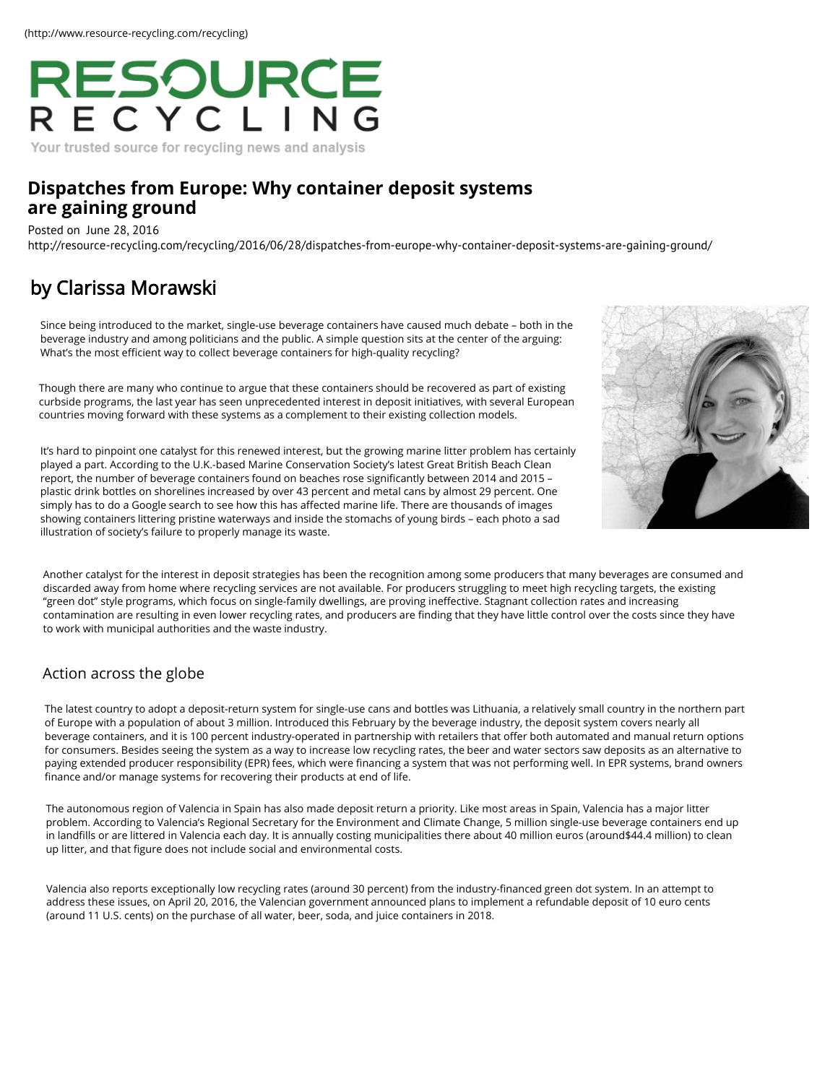# RESOURCE

### Your trusted source for recycling news and analysis

## **D[ispatches from Europe: Why container deposit systems](http://resource-recycling.com/recycling/2016/06/28/dispatches-from-europe-why-container-deposit-systems-are-gaining-ground/) are gaining ground**

Posted on June 28, 2016

http://resource-recycling.com/recycling/2016/06/28/dispatches-from-europe-why-container-deposit-systems-are-gaining-ground/

# [by Clarissa Morawski](http://resource-recycling.com/recycling/2016/06/28/dispatches-from-europe-why-container-deposit-systems-are-gaining-ground/)

Since being introduced to the market, single-use beverage containers have caused much debate – both in the beverage industry and among politicians and the public. A simple question sits at the center of the arguing: What's the most efficient way to collect beverage containers for high-quality recycling?

Though there are many who continue to argue that these containers should be recovered as part of existing curbside programs, the last year has seen unprecedented interest in deposit initiatives, with several European countries moving forward with these systems as a complement to their existing collection models.

It's hard to pinpoint one catalyst for this renewed interest, but the growing marine litter problem has certainly played a part. According to the U.K.-based Marine Conservation Society's latest Great British Beach Clean report, the number of beverage containers found on beaches rose significantly between 2014 and 2015 – plastic drink bottles on shorelines increased by over 43 percent and metal cans by almost 29 percent. One simply has to do a Google search to see how this has affected marine life. There are thousands of images showing containers [littering pristine waterways and inside the stomachs of young birds – each p](http://www.plasticsnewseurope.com/article/20160323/PNE/160329907/uk-charity-%20calls-for-%20deposit-return-%20scheme-on-%20plastic-drinks-%20bottles)hoto a sad illustration of society's failure to properly manage its waste.



Another catalyst for the interest in deposit strategies has been the recognition among some producers that many beverages are consumed and discarded away from home where recycling services are not available. For producers struggling to meet high recycling targets, the existing "green dot" style programs, which focus on single-family dwellings, are proving ineffective. Stagnant collection rates and increasing contamination are resulting in even lower recycling rates, and producers are finding that they have little control [over the costs since they have](http://resource-recycling.com/recycling/2016/12/12/study-explores-what-works-and-what-doesnt-do-much-in-curbside-recycling/)  to work with municipal authorities and the waste industry.

## Action across the globe

The latest country to adopt a deposit-return system for single-use cans and bottles was Lithuania, a relatively small country in the northern part of Europe with a population of about 3 million. Introduced this February by the beverage industry, the deposit system covers nearly all beverage containers, and it is 100 percent industry-operated in partnership with retailers that offer both automated and manual return options for consumers. Besides seeing the system as a way to increase low recycling rates, the beer and water sectors saw deposits as an alternative to paying extended producer responsibility (EPR) fees, which were financing a system that was not performing wel[l. In EPR systems, brand owners](http://resource-recycling.com/recycling/2016/12/12/solutions-for-cleaning-up-glass-at-the-mrf/)  finance and/or manage systems for recovering their products at end of life.

The autonomous region of Valencia in Spain has also made deposit return a priority. Like most areas in Spain, Valencia has a major litter problem. According to Valencia's Regional Secretary for the Environment and Climate Change, 5 million single-use beverage containers end up in landfills or are littered in Valencia each day. It is annually costing municipalities there about 40 million euros (around\$44.4 million) to clean up litter, and that figure does not include social and environmental costs.

Valencia also reports exceptionally low recycling rates (around 30 percent) from the industry-financed green do[t system. In an attempt to](http://resource-recycling.com/recycling/2016/12/12/los-angeles-adopts-commercial-franchise-recycling/)  address these issues, on April 20, 2016, the Valencian government announced plans to implement a refundable deposit of 10 euro cents (around 11 U.S. cents) on the purchase of all water, beer, soda, and juice containers in 2018.